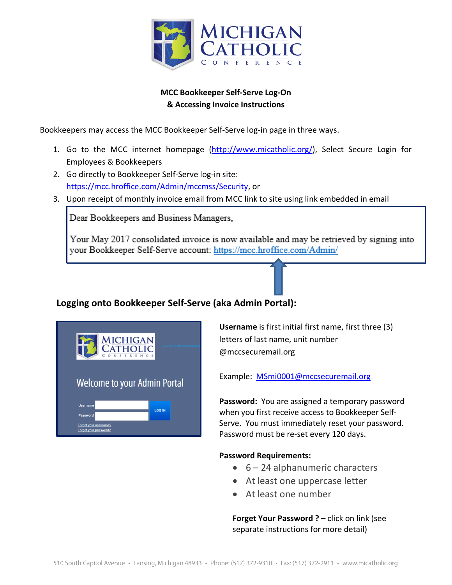

## **MCC Bookkeeper Self-Serve Log-On & Accessing Invoice Instructions**

Bookkeepers may access the MCC Bookkeeper Self-Serve log-in page in three ways.

- 1. Go to the MCC internet homepage (http://www.micatholic.org/), Select Secure Login for Employees & Bookkeepers
- 2. Go directly to Bookkeeper Self-Serve log-in site: https://mcc.hroffice.com/Admin/mccmss/Security, or
- 3. Upon receipt of monthly invoice email from MCC link to site using link embedded in email

Dear Bookkeepers and Business Managers,

Your May 2017 consolidated invoice is now available and may be retrieved by signing into your Bookkeeper Self-Serve account: https://mcc.hroffice.com/Admin/

# **Logging onto Bookkeeper Self-Serve (aka Admin Portal):**

| <b>MICHIGAN</b><br>CATHOLIC<br>E N C           | powered by Morneau Shepel |  |  |  |
|------------------------------------------------|---------------------------|--|--|--|
| <b>Welcome to your Admin Portal</b>            |                           |  |  |  |
| <b>Username</b>                                | <b>LOG IN</b>             |  |  |  |
| <b>Password</b>                                |                           |  |  |  |
| Forgot your username?<br>Forgot your password? |                           |  |  |  |

**Username** is first initial first name, first three (3) letters of last name, unit number @mccsecuremail.org

Example: MSmi0001@mccsecuremail.org

**Password:** You are assigned a temporary password when you first receive access to Bookkeeper Self-Serve. You must immediately reset your password. Password must be re-set every 120 days.

#### **Password Requirements:**

- 6 24 alphanumeric characters
- At least one uppercase letter
- At least one number

**Forget Your Password ? – click on link (see** separate instructions for more detail)